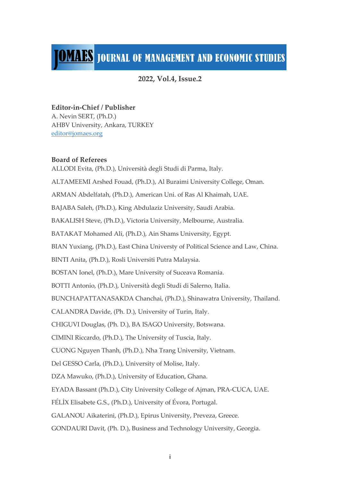## **JOMAES** JOURNAL OF MANAGEMENT AND ECONOMIC STUDIES

**2022, Vol.4, Issue.2**

#### **Editor-in-Chief / Publisher**

A. Nevin SERT, (Ph.D.) AHBV University, Ankara, TURKEY editor@jomaes.org

#### **Board of Referees**

ALLODI Evita, (Ph.D.), Università degli Studi di Parma, Italy. ALTAMEEMI Arshed Fouad, (Ph.D.), Al Buraimi University College, Oman. ARMAN Abdelfatah, (Ph.D.), American Uni. of Ras Al Khaimah, UAE. BAJABA Saleh, (Ph.D.), King Abdulaziz University, Saudi Arabia. BAKALISH Steve, (Ph.D.), Victoria University, Melbourne, Australia. BATAKAT Mohamed Ali, (Ph.D.), Ain Shams University, Egypt. BIAN Yuxiang, (Ph.D.), East China Universty of Political Science and Law, China. BINTI Anita, (Ph.D.), Rosli Universiti Putra Malaysia. BOSTAN Ionel, (Ph.D.), Mare University of Suceava Romania. BOTTI Antonio, (Ph.D.), Università degli Studi di Salerno, Italia. BUNCHAPATTANASAKDA Chanchai, (Ph.D.), Shinawatra University, Thailand. CALANDRA Davide, (Ph. D.), University of Turin, Italy. CHIGUVI Douglas, (Ph. D.), BA ISAGO University, Botswana. CIMINI Riccardo, (Ph.D.), The University of Tuscia, Italy. CUONG Nguyen Thanh, (Ph.D.), Nha Trang University, Vietnam. Del GESSO Carla, (Ph.D.), University of Molise, Italy. DZA Mawuko, (Ph.D.), University of Education, Ghana. EYADA Bassant (Ph.D.), City University College of Ajman, PRA-CUCA, UAE. FÉLİX Elisabete G.S., (Ph.D.), University of Évora, Portugal. GALANOU Aikaterini, (Ph.D.), Epirus University, Preveza, Greece. GONDAURI Davit, (Ph. D.), Business and Technology University, Georgia.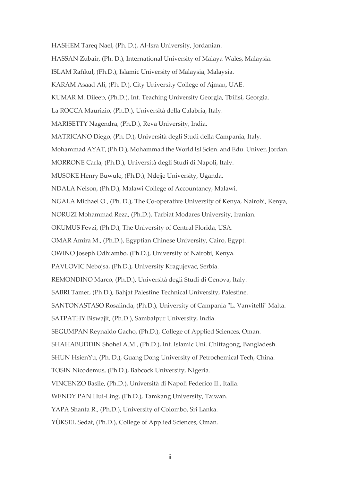HASHEM Tareq Nael, (Ph. D.), Al-Isra University, Jordanian.

- HASSAN Zubair, (Ph. D.), International University of Malaya-Wales, Malaysia.
- ISLAM Rafıkul, (Ph.D.), Islamic University of Malaysia, Malaysia.
- KARAM Asaad Ali, (Ph. D.), City University College of Ajman, UAE.
- KUMAR M. Dileep, (Ph.D.), Int. Teaching University Georgia, Tbilisi, Georgia.
- La ROCCA Maurizio, (Ph.D.), Università della Calabria, Italy.
- MARISETTY Nagendra, (Ph.D.), Reva University, India.
- MATRICANO Diego, (Ph. D.), Università degli Studi della Campania, Italy.
- Mohammad AYAT, (Ph.D.), Mohammad the World Isl Scien. and Edu. Univer, Jordan.
- MORRONE Carla, (Ph.D.), Università degli Studi di Napoli, Italy.
- MUSOKE Henry Buwule, (Ph.D.), Ndejje University, Uganda.
- NDALA Nelson, (Ph.D.), Malawi College of Accountancy, Malawi.
- NGALA Michael O., (Ph. D.), The Co-operative University of Kenya, Nairobi, Kenya,
- NORUZI Mohammad Reza, (Ph.D.), Tarbiat Modares University, Iranian.
- OKUMUS Fevzi, (Ph.D.), The University of Central Florida, USA.
- OMAR Amira M., (Ph.D.), Egyptian Chinese University, Cairo, Egypt.
- OWINO Joseph Odhiambo, (Ph.D.), University of Nairobi, Kenya.
- PAVLOVIC Nebojsa, (Ph.D.), University Kragujevac, Serbia.
- REMONDINO Marco, (Ph.D.), Università degli Studi di Genova, Italy.
- SABRI Tamer, (Ph.D.), Bahjat Palestine Technical University, Palestine.
- SANTONASTASO Rosalinda, (Ph.D.), University of Campania "L. Vanvitelli" Malta.
- SATPATHY Biswajit, (Ph.D.), Sambalpur University, India.
- SEGUMPAN Reynaldo Gacho, (Ph.D.), College of Applied Sciences, Oman.
- SHAHABUDDIN Shohel A.M., (Ph.D.), Int. Islamic Uni. Chittagong, Bangladesh.
- SHUN HsienYu, (Ph. D.), Guang Dong University of Petrochemical Tech, China.
- TOSIN Nicodemus, (Ph.D.), Babcock University, Nigeria.
- VINCENZO Basile, (Ph.D.), Università di Napoli Federico II., Italia.
- WENDY PAN Hui-Ling, (Ph.D.), Tamkang University, Taiwan.
- YAPA Shanta R., (Ph.D.), University of Colombo, Sri Lanka.
- YÜKSEL Sedat, (Ph.D.), College of Applied Sciences, Oman.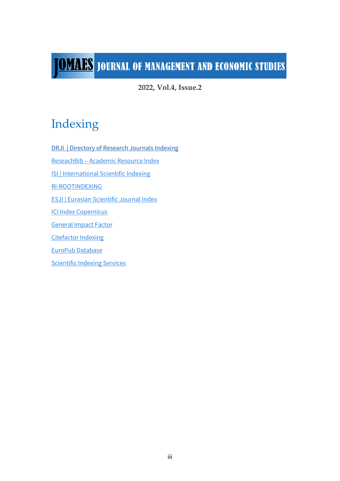# **JOMAES** JOURNAL OF MANAGEMENT AND ECONOMIC STUDIES

**2022, Vol.4, Issue.2**

### Indexing

DRJI | Directory of Research Journals Indexing

ReseachBib – Academic Resource Index

ISI | International Scientific Indexing

RI-ROOTINDEXING

ESJI | Eurasian Scientific Journal Index

ICI Index Copernicus

General Impact Factor

**Citefactor Indexing** 

EuroPub Database

Scientific Indexing Services